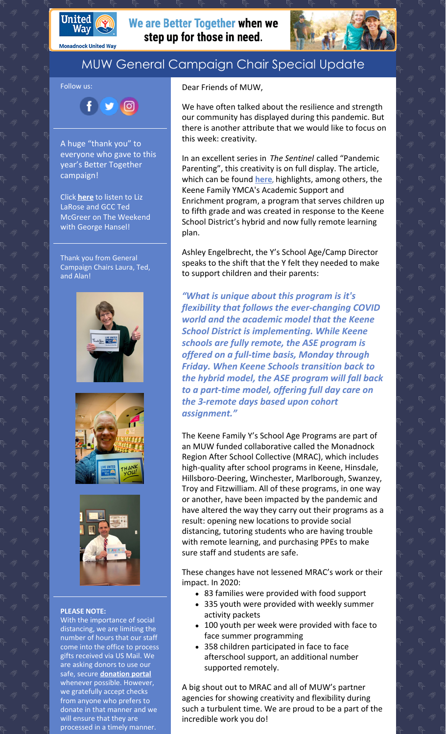

**Monadnock United Way** 

## We are Better Together when we step up for those in need.



## MUW General Campaign Chair Special Update

Follow us:

 $\mathbf{f}$ 

A huge "thank you" to everyone who gave to this year's Better Together campaign!

 $900$ 

Click **[here](https://wkbkradio.com/podcasts/the-weekend-with-george-hansel-hour-2-wkbk-1-23-21-2/)** to listen to Liz LaRose and GCC Ted McGreer on The Weekend with George Hansel!

Thank you from General Campaign Chairs Laura, Ted, and Alan!







## **PLEASE NOTE:**

With the importance of social distancing, we are limiting the number of hours that our staff come into the office to process gifts received via US Mail. We are asking donors to use our safe, secure **[donation](https://app.mobilecause.com/f/2vgz/n?reset=1&%253Bid=1&vid=cdoig) portal** whenever possible. However, we gratefully accept checks from anyone who prefers to donate in that manner and we will ensure that they are processed in a timely manner.

Dear Friends of MUW,

We have often talked about the resilience and strength our community has displayed during this pandemic. But there is another attribute that we would like to focus on this week: creativity.

In an excellent series in *The Sentinel* called "Pandemic Parenting", this creativity is on full display. The article, which can be found **[here](https://www.sentinelsource.com/pandemic_parenting/)**, highlights, among others, the Keene Family YMCA's Academic Support and Enrichment program, a program that serves children up to fifth grade and was created in response to the Keene School District's hybrid and now fully remote learning plan.

Ashley Engelbrecht, the Y's School Age/Camp Director speaks to the shift that the Y felt they needed to make to support children and their parents:

*"What is unique about this program is it's flexibility that follows the ever-changing COVID world and the academic model that the Keene School District is implementing. While Keene schools are fully remote, the ASE program is offered on a full-time basis, Monday through Friday. When Keene Schools transition back to the hybrid model, the ASE program will fall back to a part-time model, offering full day care on the 3-remote days based upon cohort assignment."*

The Keene Family Y's School Age Programs are part of an MUW funded collaborative called the Monadnock Region After School Collective (MRAC), which includes high-quality after school programs in Keene, Hinsdale, Hillsboro-Deering, Winchester, Marlborough, Swanzey, Troy and Fitzwilliam. All of these programs, in one way or another, have been impacted by the pandemic and have altered the way they carry out their programs as a result: opening new locations to provide social distancing, tutoring students who are having trouble with remote learning, and purchasing PPEs to make sure staff and students are safe.

These changes have not lessened MRAC's work or their impact. In 2020:

- 83 families were provided with food support
- 335 youth were provided with weekly summer activity packets
- 100 youth per week were provided with face to face summer programming
- 358 children participated in face to face afterschool support, an additional number supported remotely.

A big shout out to MRAC and all of MUW's partner agencies for showing creativity and flexibility during such a turbulent time. We are proud to be a part of the incredible work you do!